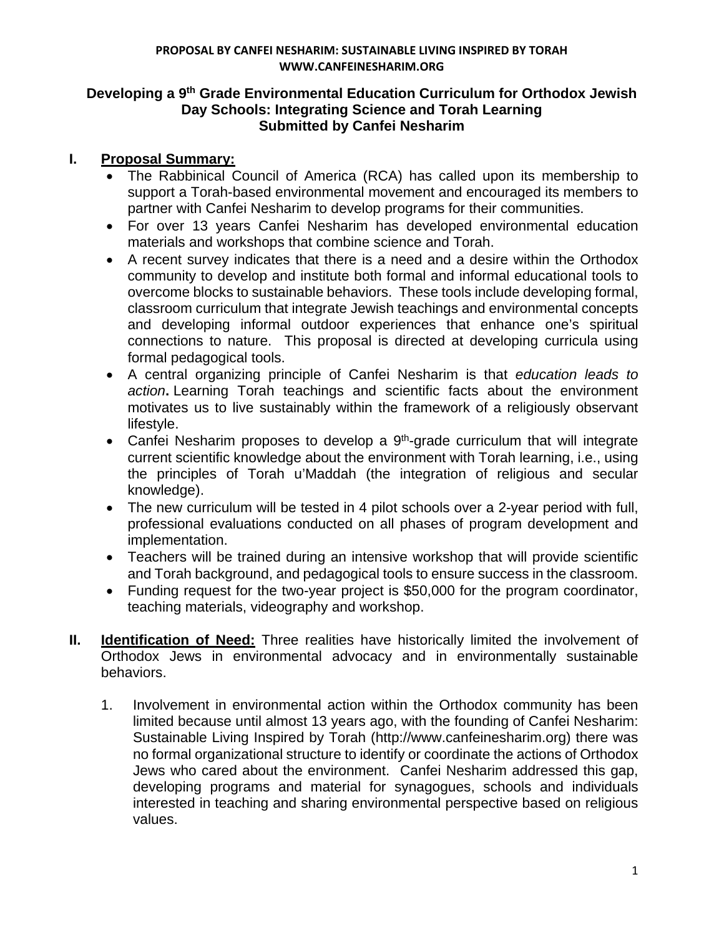## **Developing a 9th Grade Environmental Education Curriculum for Orthodox Jewish Day Schools: Integrating Science and Torah Learning Submitted by Canfei Nesharim**

# **I. Proposal Summary:**

- The Rabbinical Council of America (RCA) has called upon its membership to support a Torah-based environmental movement and encouraged its members to partner with Canfei Nesharim to develop programs for their communities.
- For over 13 years Canfei Nesharim has developed environmental education materials and workshops that combine science and Torah.
- A recent survey indicates that there is a need and a desire within the Orthodox community to develop and institute both formal and informal educational tools to overcome blocks to sustainable behaviors. These tools include developing formal, classroom curriculum that integrate Jewish teachings and environmental concepts and developing informal outdoor experiences that enhance one's spiritual connections to nature. This proposal is directed at developing curricula using formal pedagogical tools.
- A central organizing principle of Canfei Nesharim is that *education leads to action***.** Learning Torah teachings and scientific facts about the environment motivates us to live sustainably within the framework of a religiously observant lifestyle.
- Canfei Nesharim proposes to develop a  $9<sup>th</sup>$ -grade curriculum that will integrate current scientific knowledge about the environment with Torah learning, i.e., using the principles of Torah u'Maddah (the integration of religious and secular knowledge).
- The new curriculum will be tested in 4 pilot schools over a 2-year period with full, professional evaluations conducted on all phases of program development and implementation.
- Teachers will be trained during an intensive workshop that will provide scientific and Torah background, and pedagogical tools to ensure success in the classroom.
- Funding request for the two-year project is \$50,000 for the program coordinator, teaching materials, videography and workshop.
- **II. Identification of Need:** Three realities have historically limited the involvement of Orthodox Jews in environmental advocacy and in environmentally sustainable behaviors.
	- 1. Involvement in environmental action within the Orthodox community has been limited because until almost 13 years ago, with the founding of Canfei Nesharim: Sustainable Living Inspired by Torah (http://www.canfeinesharim.org) there was no formal organizational structure to identify or coordinate the actions of Orthodox Jews who cared about the environment. Canfei Nesharim addressed this gap, developing programs and material for synagogues, schools and individuals interested in teaching and sharing environmental perspective based on religious values.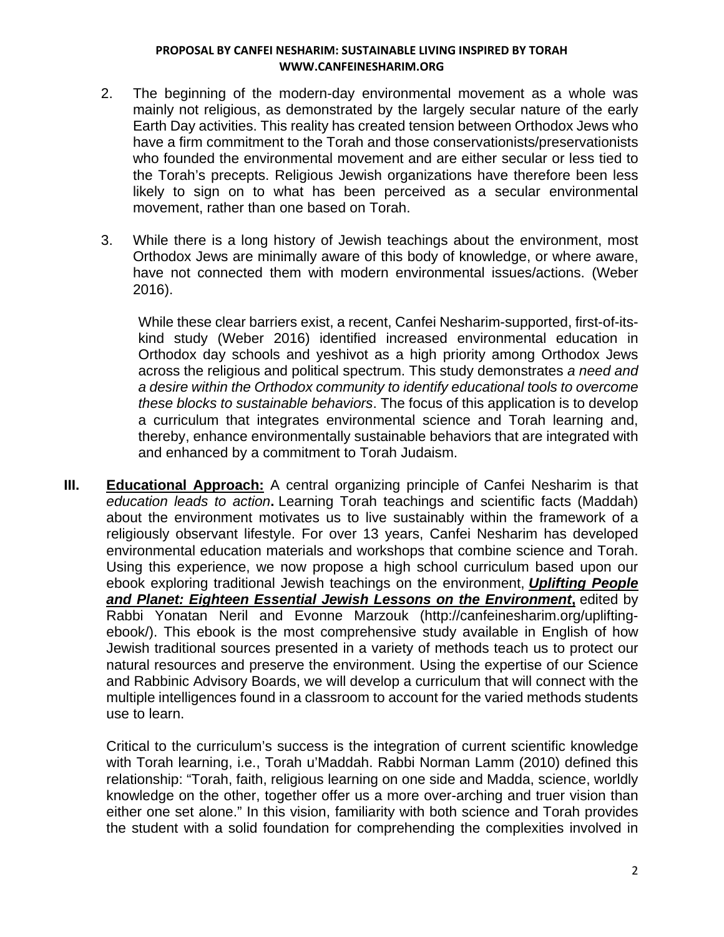- 2. The beginning of the modern-day environmental movement as a whole was mainly not religious, as demonstrated by the largely secular nature of the early Earth Day activities. This reality has created tension between Orthodox Jews who have a firm commitment to the Torah and those conservationists/preservationists who founded the environmental movement and are either secular or less tied to the Torah's precepts. Religious Jewish organizations have therefore been less likely to sign on to what has been perceived as a secular environmental movement, rather than one based on Torah.
- 3. While there is a long history of Jewish teachings about the environment, most Orthodox Jews are minimally aware of this body of knowledge, or where aware, have not connected them with modern environmental issues/actions. (Weber 2016).

While these clear barriers exist, a recent, Canfei Nesharim-supported, first-of-itskind study (Weber 2016) identified increased environmental education in Orthodox day schools and yeshivot as a high priority among Orthodox Jews across the religious and political spectrum. This study demonstrates *a need and a desire within the Orthodox community to identify educational tools to overcome these blocks to sustainable behaviors*. The focus of this application is to develop a curriculum that integrates environmental science and Torah learning and, thereby, enhance environmentally sustainable behaviors that are integrated with and enhanced by a commitment to Torah Judaism.

**III. Educational Approach:** A central organizing principle of Canfei Nesharim is that *education leads to action***.** Learning Torah teachings and scientific facts (Maddah) about the environment motivates us to live sustainably within the framework of a religiously observant lifestyle. For over 13 years, Canfei Nesharim has developed environmental education materials and workshops that combine science and Torah. Using this experience, we now propose a high school curriculum based upon our ebook exploring traditional Jewish teachings on the environment, *Uplifting People and Planet: Eighteen Essential Jewish Lessons on the Environment***,** edited by Rabbi Yonatan Neril and Evonne Marzouk (http://canfeinesharim.org/upliftingebook/). This ebook is the most comprehensive study available in English of how Jewish traditional sources presented in a variety of methods teach us to protect our natural resources and preserve the environment. Using the expertise of our Science and Rabbinic Advisory Boards, we will develop a curriculum that will connect with the multiple intelligences found in a classroom to account for the varied methods students use to learn.

Critical to the curriculum's success is the integration of current scientific knowledge with Torah learning, i.e., Torah u'Maddah. Rabbi Norman Lamm (2010) defined this relationship: "Torah, faith, religious learning on one side and Madda, science, worldly knowledge on the other, together offer us a more over-arching and truer vision than either one set alone." In this vision, familiarity with both science and Torah provides the student with a solid foundation for comprehending the complexities involved in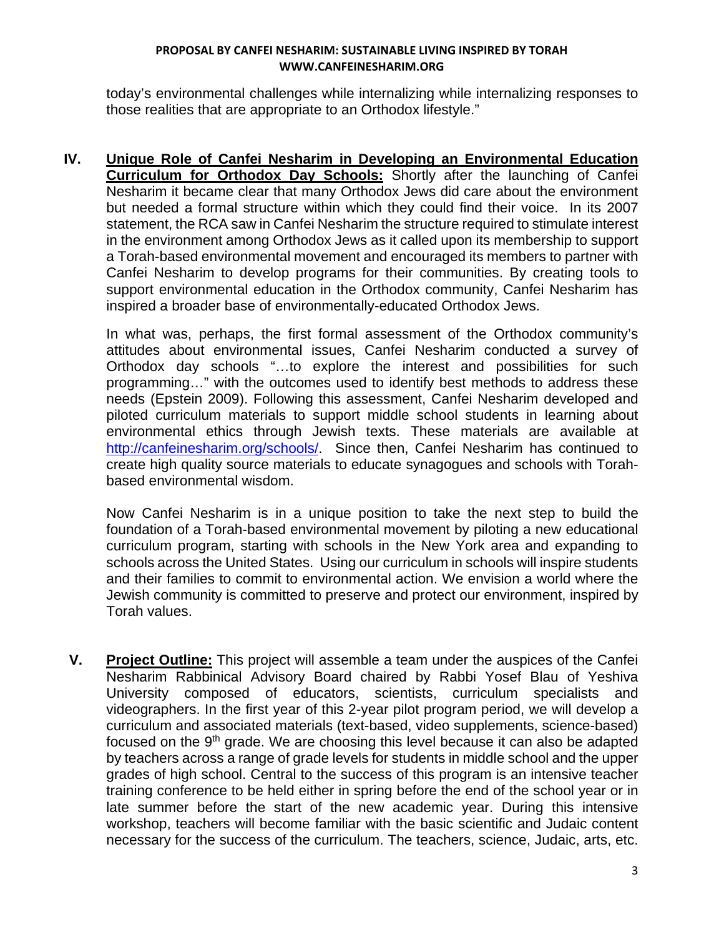today's environmental challenges while internalizing while internalizing responses to those realities that are appropriate to an Orthodox lifestyle."

**IV. Unique Role of Canfei Nesharim in Developing an Environmental Education Curriculum for Orthodox Day Schools:** Shortly after the launching of Canfei Nesharim it became clear that many Orthodox Jews did care about the environment but needed a formal structure within which they could find their voice. In its 2007 statement, the RCA saw in Canfei Nesharim the structure required to stimulate interest in the environment among Orthodox Jews as it called upon its membership to support a Torah-based environmental movement and encouraged its members to partner with Canfei Nesharim to develop programs for their communities. By creating tools to support environmental education in the Orthodox community, Canfei Nesharim has inspired a broader base of environmentally-educated Orthodox Jews.

In what was, perhaps, the first formal assessment of the Orthodox community's attitudes about environmental issues, Canfei Nesharim conducted a survey of Orthodox day schools "…to explore the interest and possibilities for such programming…" with the outcomes used to identify best methods to address these needs (Epstein 2009). Following this assessment, Canfei Nesharim developed and piloted curriculum materials to support middle school students in learning about environmental ethics through Jewish texts. These materials are available at http://canfeinesharim.org/schools/. Since then, Canfei Nesharim has continued to create high quality source materials to educate synagogues and schools with Torahbased environmental wisdom.

Now Canfei Nesharim is in a unique position to take the next step to build the foundation of a Torah-based environmental movement by piloting a new educational curriculum program, starting with schools in the New York area and expanding to schools across the United States. Using our curriculum in schools will inspire students and their families to commit to environmental action. We envision a world where the Jewish community is committed to preserve and protect our environment, inspired by Torah values.

**V. Project Outline:** This project will assemble a team under the auspices of the Canfei Nesharim Rabbinical Advisory Board chaired by Rabbi Yosef Blau of Yeshiva University composed of educators, scientists, curriculum specialists and videographers. In the first year of this 2-year pilot program period, we will develop a curriculum and associated materials (text-based, video supplements, science-based) focused on the 9<sup>th</sup> grade. We are choosing this level because it can also be adapted by teachers across a range of grade levels for students in middle school and the upper grades of high school. Central to the success of this program is an intensive teacher training conference to be held either in spring before the end of the school year or in late summer before the start of the new academic year. During this intensive workshop, teachers will become familiar with the basic scientific and Judaic content necessary for the success of the curriculum. The teachers, science, Judaic, arts, etc.